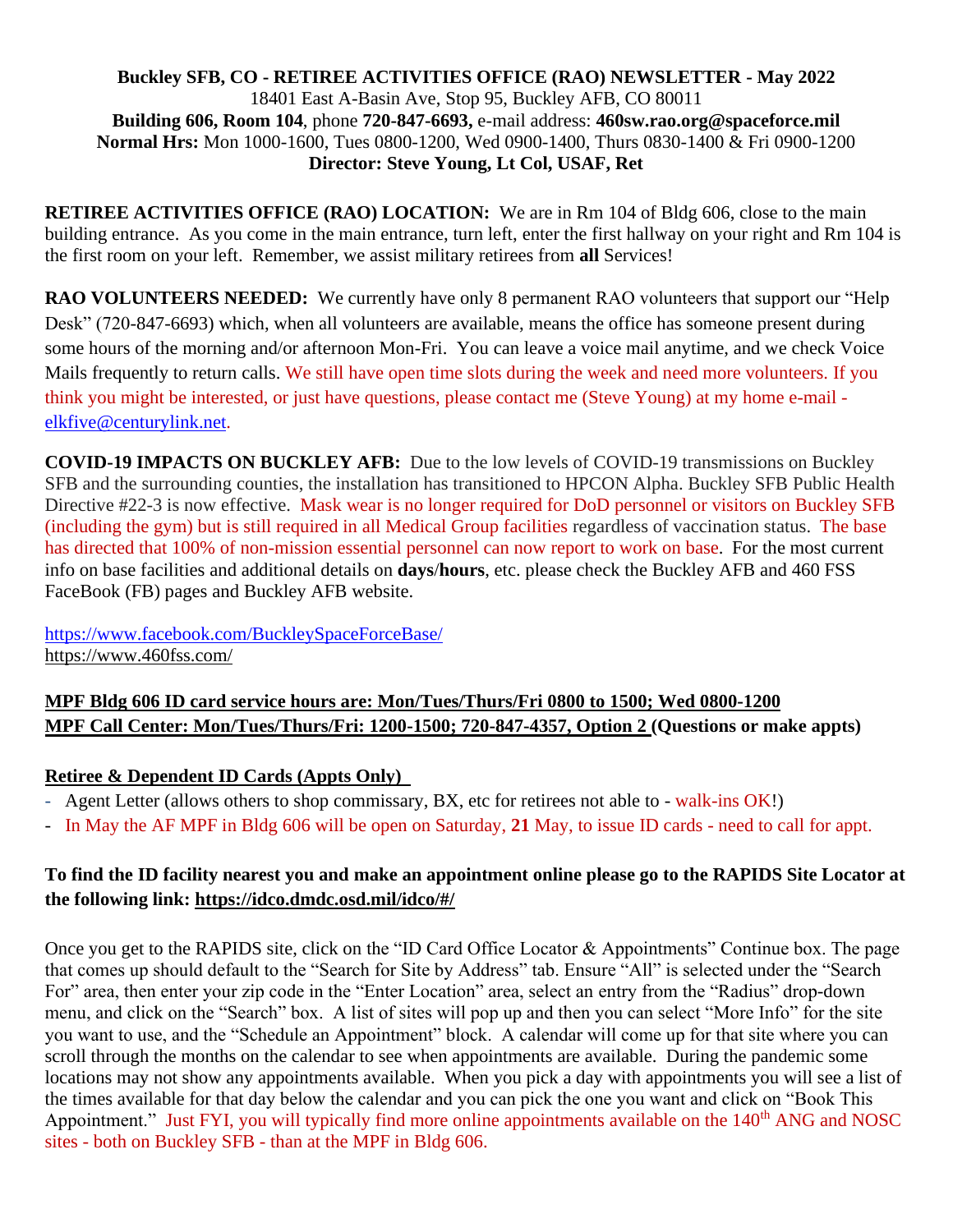#### **Buckley SFB, CO - RETIREE ACTIVITIES OFFICE (RAO) NEWSLETTER - May 2022** 18401 East A-Basin Ave, Stop 95, Buckley AFB, CO 80011 **Building 606, Room 104**, phone **720-847-6693,** e-mail address: **460sw.rao.org@spaceforce.mil Normal Hrs:** Mon 1000-1600, Tues 0800-1200, Wed 0900-1400, Thurs 0830-1400 & Fri 0900-1200 **Director: Steve Young, Lt Col, USAF, Ret**

**RETIREE ACTIVITIES OFFICE (RAO) LOCATION:** We are in Rm 104 of Bldg 606, close to the main building entrance. As you come in the main entrance, turn left, enter the first hallway on your right and Rm 104 is the first room on your left. Remember, we assist military retirees from **all** Services!

**RAO VOLUNTEERS NEEDED:** We currently have only 8 permanent RAO volunteers that support our "Help Desk" (720-847-6693) which, when all volunteers are available, means the office has someone present during some hours of the morning and/or afternoon Mon-Fri. You can leave a voice mail anytime, and we check Voice Mails frequently to return calls. We still have open time slots during the week and need more volunteers. If you think you might be interested, or just have questions, please contact me (Steve Young) at my home e-mail [elkfive@centurylink.net.](mailto:elkfive@centurylink.net)

**COVID-19 IMPACTS ON BUCKLEY AFB:** Due to the low levels of COVID-19 transmissions on Buckley SFB and the surrounding counties, the installation has transitioned to HPCON Alpha. Buckley SFB Public Health Directive #22-3 is now effective. Mask wear is no longer required for DoD personnel or visitors on Buckley SFB (including the gym) but is still required in all Medical Group facilities regardless of vaccination status. The base has directed that 100% of non-mission essential personnel can now report to work on base. For the most current info on base facilities and additional details on **days**/**hours**, etc. please check the Buckley AFB and 460 FSS FaceBook (FB) pages and Buckley AFB website.

<https://www.facebook.com/BuckleySpaceForceBase/> <https://www.460fss.com/>

# **MPF Bldg 606 ID card service hours are: Mon/Tues/Thurs/Fri 0800 to 1500; Wed 0800-1200 MPF Call Center: Mon/Tues/Thurs/Fri: 1200-1500; 720-847-4357, Option 2 (Questions or make appts)**

## **Retiree & Dependent ID Cards (Appts Only)**

- Agent Letter (allows others to shop commissary, BX, etc for retirees not able to walk-ins OK!)
- In May the AF MPF in Bldg 606 will be open on Saturday, **21** May, to issue ID cards need to call for appt.

## **To find the ID facility nearest you and make an appointment online please go to the RAPIDS Site Locator at the following link:<https://idco.dmdc.osd.mil/idco/#/>**

Once you get to the RAPIDS site, click on the "ID Card Office Locator & Appointments" Continue box. The page that comes up should default to the "Search for Site by Address" tab. Ensure "All" is selected under the "Search For" area, then enter your zip code in the "Enter Location" area, select an entry from the "Radius" drop-down menu, and click on the "Search" box. A list of sites will pop up and then you can select "More Info" for the site you want to use, and the "Schedule an Appointment" block. A calendar will come up for that site where you can scroll through the months on the calendar to see when appointments are available. During the pandemic some locations may not show any appointments available. When you pick a day with appointments you will see a list of the times available for that day below the calendar and you can pick the one you want and click on "Book This Appointment." Just FYI, you will typically find more online appointments available on the 140<sup>th</sup> ANG and NOSC sites - both on Buckley SFB - than at the MPF in Bldg 606.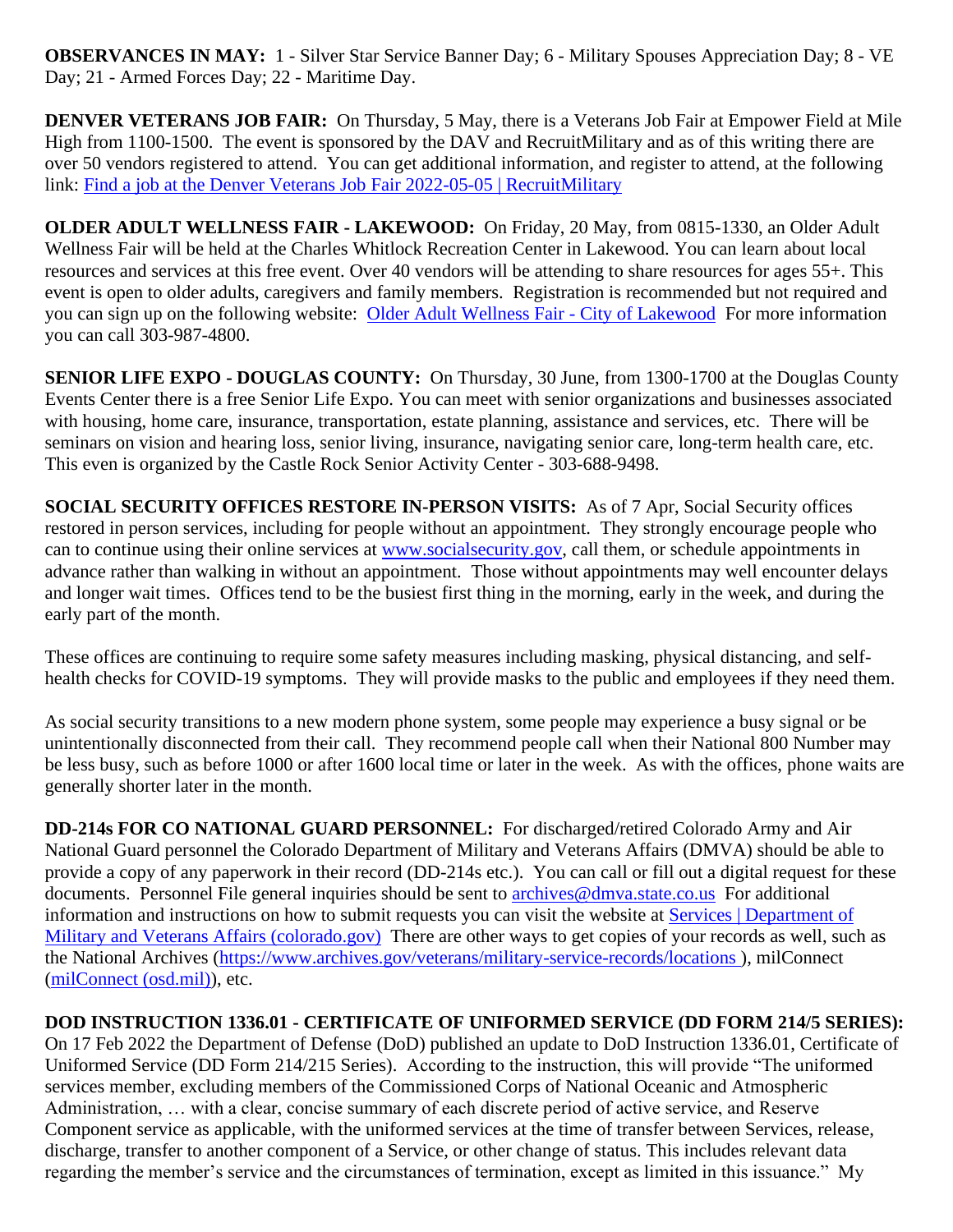**OBSERVANCES IN MAY:** 1 - Silver Star Service Banner Day; 6 - Military Spouses Appreciation Day; 8 - VE Day; 21 - Armed Forces Day; 22 - Maritime Day.

**DENVER VETERANS JOB FAIR:** On Thursday, 5 May, there is a Veterans Job Fair at Empower Field at Mile High from 1100-1500. The event is sponsored by the DAV and RecruitMilitary and as of this writing there are over 50 vendors registered to attend. You can get additional information, and register to attend, at the following link: [Find a job at the Denver Veterans Job Fair 2022-05-05 | RecruitMilitary](https://success.recruitmilitary.com/events/denver-veterans-job-fair-may-5-2022)

**OLDER ADULT WELLNESS FAIR - LAKEWOOD:** On Friday, 20 May, from 0815-1330, an Older Adult Wellness Fair will be held at the Charles Whitlock Recreation Center in Lakewood. You can learn about local resources and services at this free event. Over 40 vendors will be attending to share resources for ages 55+. This event is open to older adults, caregivers and family members. Registration is recommended but not required and you can sign up on the following website: [Older Adult Wellness Fair -](https://www.lakewood.org/Government/Departments/Community-Resources/Recreation/Recreation-Events/Older-Adult-Wellness) City of Lakewood For more information you can call 303-987-4800.

**SENIOR LIFE EXPO - DOUGLAS COUNTY:** On Thursday, 30 June, from 1300-1700 at the Douglas County Events Center there is a free Senior Life Expo. You can meet with senior organizations and businesses associated with housing, home care, insurance, transportation, estate planning, assistance and services, etc. There will be seminars on vision and hearing loss, senior living, insurance, navigating senior care, long-term health care, etc. This even is organized by the Castle Rock Senior Activity Center - 303-688-9498.

**SOCIAL SECURITY OFFICES RESTORE IN-PERSON VISITS:** As of 7 Apr, Social Security offices restored in person services, including for people without an appointment. They strongly encourage people who can to continue using their online services at [www.socialsecurity.gov,](http://www.socialsecurity.gov/) call them, or schedule appointments in advance rather than walking in without an appointment. Those without appointments may well encounter delays and longer wait times. Offices tend to be the busiest first thing in the morning, early in the week, and during the early part of the month.

These offices are continuing to require some safety measures including masking, physical distancing, and selfhealth checks for COVID-19 symptoms. They will provide masks to the public and employees if they need them.

As social security transitions to a new modern phone system, some people may experience a busy signal or be unintentionally disconnected from their call. They recommend people call when their National 800 Number may be less busy, such as before 1000 or after 1600 local time or later in the week. As with the offices, phone waits are generally shorter later in the month.

**DD-214s FOR CO NATIONAL GUARD PERSONNEL:** For discharged/retired Colorado Army and Air National Guard personnel the Colorado Department of Military and Veterans Affairs (DMVA) should be able to provide a copy of any paperwork in their record (DD-214s etc.). You can call or fill out a digital request for these documents. Personnel File general inquiries should be sent to [archives@dmva.state.co.us](mailto:archives@dmva.state.co.us) For additional information and instructions on how to submit requests you can visit the website at [Services | Department of](https://dmva.colorado.gov/services)  [Military and Veterans Affairs \(colorado.gov\)](https://dmva.colorado.gov/services) There are other ways to get copies of your records as well, such as the National Archives [\(https://www.archives.gov/veterans/military-service-records/locations](https://nam12.safelinks.protection.outlook.com/?url=https%3A%2F%2Fwww.archives.gov%2Fveterans%2Fmilitary-service-records%2Flocations&data=04%7C01%7C%7Ccaae8adfd80445b6241c08da17d96658%7C84df9e7fe9f640afb435aaaaaaaaaaaa%7C1%7C0%7C637848519873005677%7CUnknown%7CTWFpbGZsb3d8eyJWIjoiMC4wLjAwMDAiLCJQIjoiV2luMzIiLCJBTiI6Ik1haWwiLCJXVCI6Mn0%3D%7C3000&sdata=KalozDizCdimJAiB2oduCCh%2BUBogRBO70Be540Ka%2F40%3D&reserved=0) ), milConnect [\(milConnect \(osd.mil\)\)](https://milconnect.dmdc.osd.mil/milconnect/), etc.

**DOD INSTRUCTION 1336.01 - CERTIFICATE OF UNIFORMED SERVICE (DD FORM 214/5 SERIES):** On 17 Feb 2022 the Department of Defense (DoD) published an update to DoD Instruction 1336.01, Certificate of Uniformed Service (DD Form 214/215 Series). According to the instruction, this will provide "The uniformed services member, excluding members of the Commissioned Corps of National Oceanic and Atmospheric Administration, … with a clear, concise summary of each discrete period of active service, and Reserve Component service as applicable, with the uniformed services at the time of transfer between Services, release, discharge, transfer to another component of a Service, or other change of status. This includes relevant data regarding the member's service and the circumstances of termination, except as limited in this issuance." My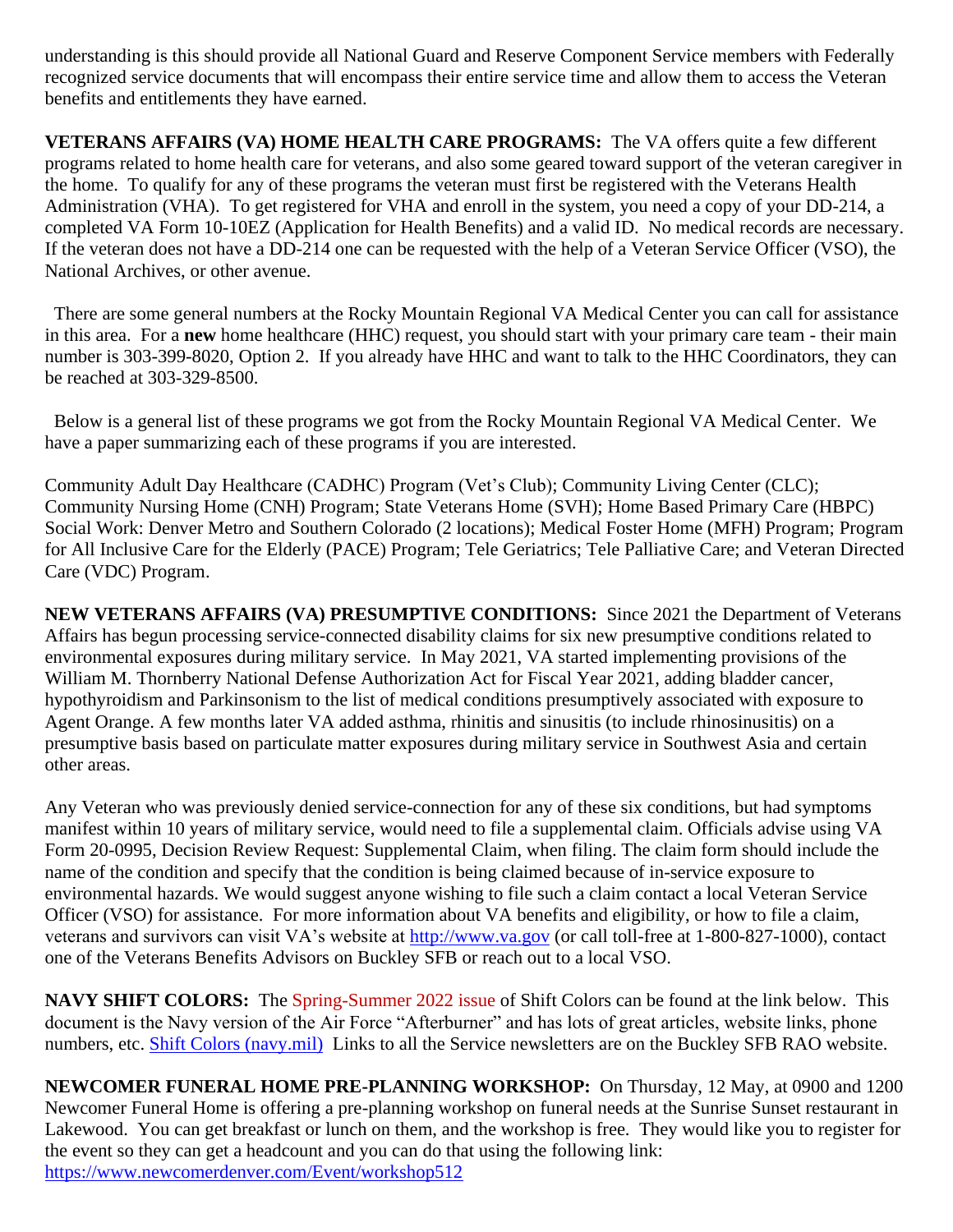understanding is this should provide all National Guard and Reserve Component Service members with Federally recognized service documents that will encompass their entire service time and allow them to access the Veteran benefits and entitlements they have earned.

**VETERANS AFFAIRS (VA) HOME HEALTH CARE PROGRAMS:** The VA offers quite a few different programs related to home health care for veterans, and also some geared toward support of the veteran caregiver in the home. To qualify for any of these programs the veteran must first be registered with the Veterans Health Administration (VHA). To get registered for VHA and enroll in the system, you need a copy of your DD-214, a completed VA Form 10-10EZ (Application for Health Benefits) and a valid ID. No medical records are necessary. If the veteran does not have a DD-214 one can be requested with the help of a Veteran Service Officer (VSO), the National Archives, or other avenue.

 There are some general numbers at the Rocky Mountain Regional VA Medical Center you can call for assistance in this area. For a **new** home healthcare (HHC) request, you should start with your primary care team - their main number is 303-399-8020, Option 2. If you already have HHC and want to talk to the HHC Coordinators, they can be reached at 303-329-8500.

 Below is a general list of these programs we got from the Rocky Mountain Regional VA Medical Center. We have a paper summarizing each of these programs if you are interested.

Community Adult Day Healthcare (CADHC) Program (Vet's Club); Community Living Center (CLC); Community Nursing Home (CNH) Program; State Veterans Home (SVH); Home Based Primary Care (HBPC) Social Work: Denver Metro and Southern Colorado (2 locations); Medical Foster Home (MFH) Program; Program for All Inclusive Care for the Elderly (PACE) Program; Tele Geriatrics; Tele Palliative Care; and Veteran Directed Care (VDC) Program.

**NEW VETERANS AFFAIRS (VA) PRESUMPTIVE CONDITIONS:** Since 2021 the Department of Veterans Affairs has begun processing service-connected disability claims for six new presumptive conditions related to environmental exposures during military service. In May 2021, VA started implementing provisions of the William M. Thornberry National Defense Authorization Act for Fiscal Year 2021, adding bladder cancer, hypothyroidism and Parkinsonism to the list of medical conditions presumptively associated with exposure to Agent Orange. A few months later VA added asthma, rhinitis and sinusitis (to include rhinosinusitis) on a presumptive basis based on particulate matter exposures during military service in Southwest Asia and certain other areas.

Any Veteran who was previously denied service-connection for any of these six conditions, but had symptoms manifest within 10 years of military service, would need to file a supplemental claim. Officials advise using VA Form 20-0995, Decision Review Request: Supplemental Claim, when filing. The claim form should include the name of the condition and specify that the condition is being claimed because of in-service exposure to environmental hazards. We would suggest anyone wishing to file such a claim contact a local Veteran Service Officer (VSO) for assistance. For more information about VA benefits and eligibility, or how to file a claim, veterans and survivors can visit VA's website at [http://www.va.gov](http://www.va.gov/) (or call toll-free at 1-800-827-1000), contact one of the Veterans Benefits Advisors on Buckley SFB or reach out to a local VSO.

**NAVY SHIFT COLORS:** The Spring-Summer 2022 issue of Shift Colors can be found at the link below. This document is the Navy version of the Air Force "Afterburner" and has lots of great articles, website links, phone numbers, etc. [Shift Colors \(navy.mil\)](https://www.mynavyhr.navy.mil/Media-Center/Publications/Shift-Colors/) Links to all the Service newsletters are on the Buckley SFB RAO website.

**NEWCOMER FUNERAL HOME PRE-PLANNING WORKSHOP:** On Thursday, 12 May, at 0900 and 1200 Newcomer Funeral Home is offering a pre-planning workshop on funeral needs at the Sunrise Sunset restaurant in Lakewood. You can get breakfast or lunch on them, and the workshop is free. They would like you to register for the event so they can get a headcount and you can do that using the following link: <https://www.newcomerdenver.com/Event/workshop512>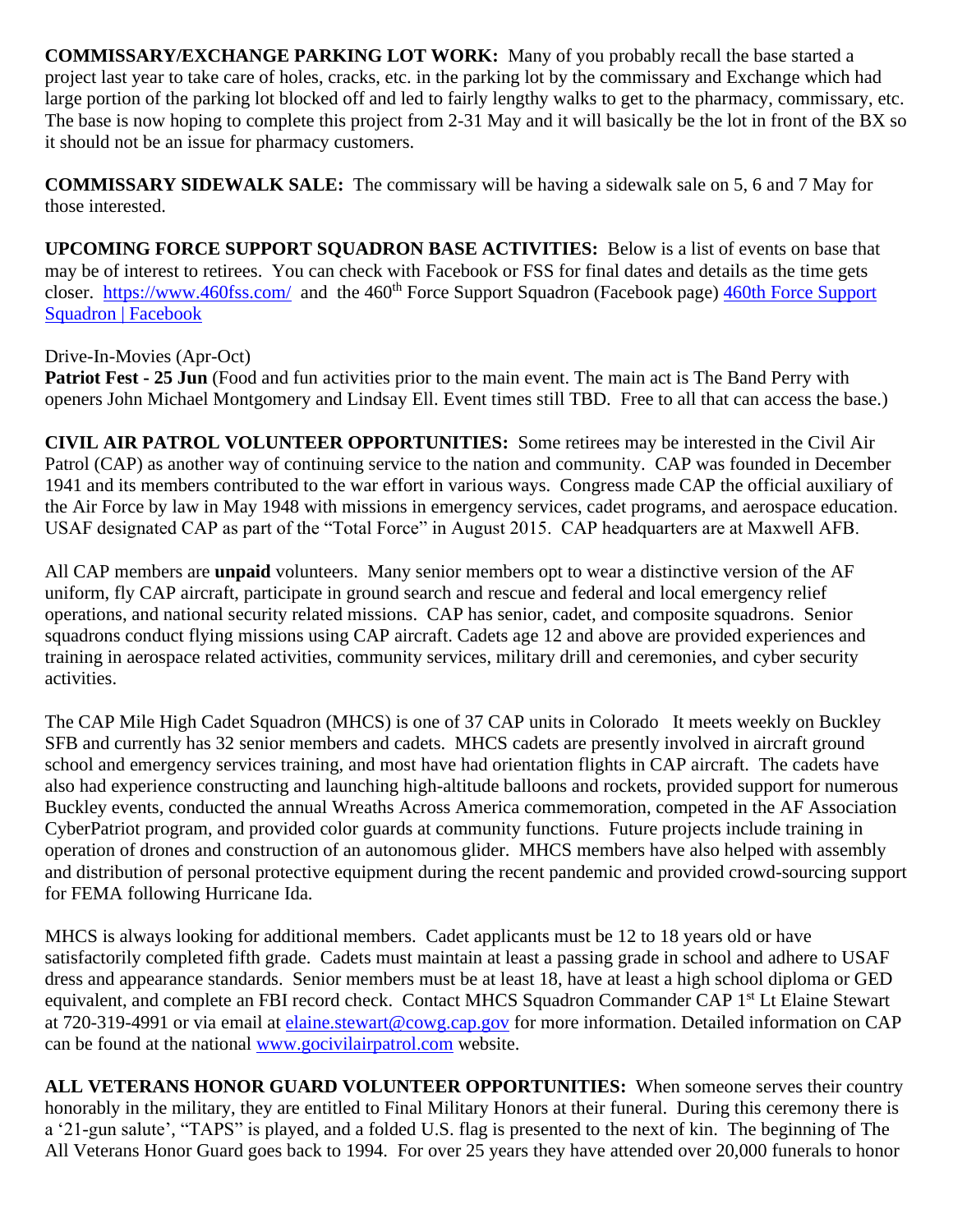**COMMISSARY/EXCHANGE PARKING LOT WORK:** Many of you probably recall the base started a project last year to take care of holes, cracks, etc. in the parking lot by the commissary and Exchange which had large portion of the parking lot blocked off and led to fairly lengthy walks to get to the pharmacy, commissary, etc. The base is now hoping to complete this project from 2-31 May and it will basically be the lot in front of the BX so it should not be an issue for pharmacy customers.

**COMMISSARY SIDEWALK SALE:** The commissary will be having a sidewalk sale on 5, 6 and 7 May for those interested.

**UPCOMING FORCE SUPPORT SQUADRON BASE ACTIVITIES:** Below is a list of events on base that may be of interest to retirees. You can check with Facebook or FSS for final dates and details as the time gets closer. <https://www.460fss.com/> and the 460<sup>th</sup> Force Support Squadron (Facebook page) 460th Force Support [Squadron | Facebook](https://www.facebook.com/460FSS/)

### Drive-In-Movies (Apr-Oct)

**Patriot Fest - 25 Jun** (Food and fun activities prior to the main event. The main act is The Band Perry with openers John Michael Montgomery and Lindsay Ell. Event times still TBD. Free to all that can access the base.)

**CIVIL AIR PATROL VOLUNTEER OPPORTUNITIES:** Some retirees may be interested in the Civil Air Patrol (CAP) as another way of continuing service to the nation and community. CAP was founded in December 1941 and its members contributed to the war effort in various ways. Congress made CAP the official auxiliary of the Air Force by law in May 1948 with missions in emergency services, cadet programs, and aerospace education. USAF designated CAP as part of the "Total Force" in August 2015. CAP headquarters are at Maxwell AFB.

All CAP members are **unpaid** volunteers. Many senior members opt to wear a distinctive version of the AF uniform, fly CAP aircraft, participate in ground search and rescue and federal and local emergency relief operations, and national security related missions. CAP has senior, cadet, and composite squadrons. Senior squadrons conduct flying missions using CAP aircraft. Cadets age 12 and above are provided experiences and training in aerospace related activities, community services, military drill and ceremonies, and cyber security activities.

The CAP Mile High Cadet Squadron (MHCS) is one of 37 CAP units in Colorado It meets weekly on Buckley SFB and currently has 32 senior members and cadets. MHCS cadets are presently involved in aircraft ground school and emergency services training, and most have had orientation flights in CAP aircraft. The cadets have also had experience constructing and launching high-altitude balloons and rockets, provided support for numerous Buckley events, conducted the annual Wreaths Across America commemoration, competed in the AF Association CyberPatriot program, and provided color guards at community functions. Future projects include training in operation of drones and construction of an autonomous glider. MHCS members have also helped with assembly and distribution of personal protective equipment during the recent pandemic and provided crowd-sourcing support for FEMA following Hurricane Ida.

MHCS is always looking for additional members. Cadet applicants must be 12 to 18 years old or have satisfactorily completed fifth grade. Cadets must maintain at least a passing grade in school and adhere to USAF dress and appearance standards. Senior members must be at least 18, have at least a high school diploma or GED equivalent, and complete an FBI record check. Contact MHCS Squadron Commander CAP 1<sup>st</sup> Lt Elaine Stewart at 720-319-4991 or via email at [elaine.stewart@cowg.cap.gov](mailto:elaine.stewart@cowg.cap.gov) for more information. Detailed information on CAP can be found at the national [www.gocivilairpatrol.com](http://www.gocivilairpatrol.com/) website.

**ALL VETERANS HONOR GUARD VOLUNTEER OPPORTUNITIES:** When someone serves their country honorably in the military, they are entitled to Final Military Honors at their funeral. During this ceremony there is a '21-gun salute', "TAPS" is played, and a folded U.S. flag is presented to the next of kin. The beginning of The All Veterans Honor Guard goes back to 1994. For over 25 years they have attended over 20,000 funerals to honor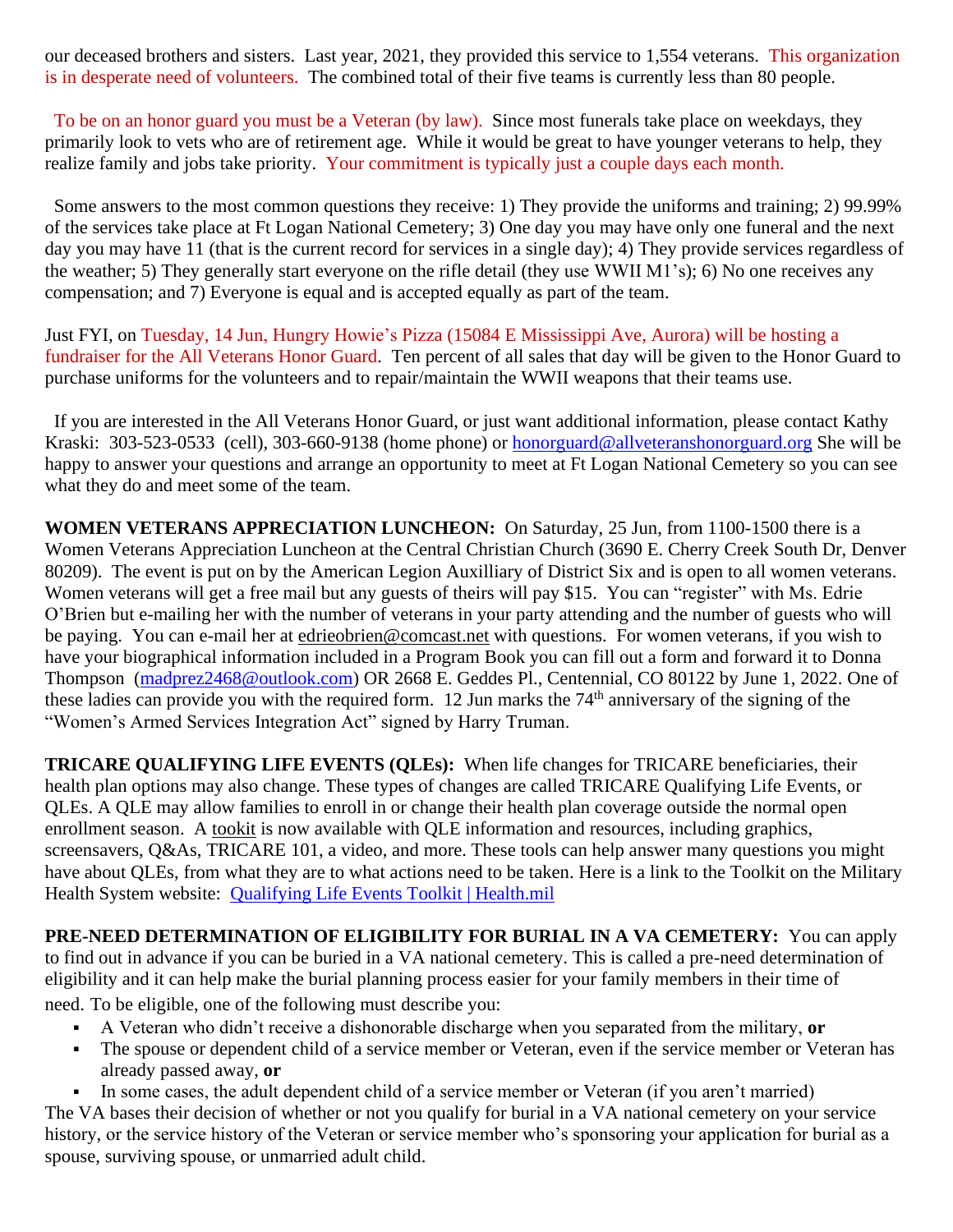our deceased brothers and sisters. Last year, 2021, they provided this service to 1,554 veterans. This organization is in desperate need of volunteers. The combined total of their five teams is currently less than 80 people.

 To be on an honor guard you must be a Veteran (by law). Since most funerals take place on weekdays, they primarily look to vets who are of retirement age. While it would be great to have younger veterans to help, they realize family and jobs take priority. Your commitment is typically just a couple days each month.

 Some answers to the most common questions they receive: 1) They provide the uniforms and training; 2) 99.99% of the services take place at Ft Logan National Cemetery; 3) One day you may have only one funeral and the next day you may have 11 (that is the current record for services in a single day); 4) They provide services regardless of the weather; 5) They generally start everyone on the rifle detail (they use WWII M1's); 6) No one receives any compensation; and 7) Everyone is equal and is accepted equally as part of the team.

Just FYI, on Tuesday, 14 Jun, Hungry Howie's Pizza (15084 E Mississippi Ave, Aurora) will be hosting a fundraiser for the All Veterans Honor Guard. Ten percent of all sales that day will be given to the Honor Guard to purchase uniforms for the volunteers and to repair/maintain the WWII weapons that their teams use.

 If you are interested in the All Veterans Honor Guard, or just want additional information, please contact Kathy Kraski: 303-523-0533 (cell), 303-660-9138 (home phone) or [honorguard@allveteranshonorguard.org](mailto:honorguard@allveteranshonorguard.org) She will be happy to answer your questions and arrange an opportunity to meet at Ft Logan National Cemetery so you can see what they do and meet some of the team.

**WOMEN VETERANS APPRECIATION LUNCHEON:** On Saturday, 25 Jun, from 1100-1500 there is a Women Veterans Appreciation Luncheon at the Central Christian Church (3690 E. Cherry Creek South Dr, Denver 80209). The event is put on by the American Legion Auxilliary of District Six and is open to all women veterans. Women veterans will get a free mail but any guests of theirs will pay \$15. You can "register" with Ms. Edrie O'Brien but e-mailing her with the number of veterans in your party attending and the number of guests who will be paying. You can e-mail her at [edrieobrien@comcast.net](mailto:edrieobrien@comcast.net) with questions. For women veterans, if you wish to have your biographical information included in a Program Book you can fill out a form and forward it to Donna Thompson [\(madprez2468@outlook.com\)](mailto:madprez2468@outlook.com) OR 2668 E. Geddes Pl., Centennial, CO 80122 by June 1, 2022. One of these ladies can provide you with the required form. 12 Jun marks the 74<sup>th</sup> anniversary of the signing of the "Women's Armed Services Integration Act" signed by Harry Truman.

**TRICARE QUALIFYING LIFE EVENTS (QLEs):** When life changes for TRICARE beneficiaries, their health plan options may also change. These types of changes are called TRICARE Qualifying Life Events, or QLEs. A QLE may allow families to enroll in or change their health plan coverage outside the normal open enrollment season. A [tookit](http://www.health.mil/qletoolkit) is now available with QLE information and resources, including graphics, screensavers, Q&As, TRICARE 101, a video, and more. These tools can help answer many questions you might have about QLEs, from what they are to what actions need to be taken. Here is a link to the Toolkit on the Military Health System website: [Qualifying Life Events Toolkit | Health.mil](https://www.health.mil/Military-Health-Topics/MHS-Toolkits/QLE-Toolkit)

**PRE-NEED DETERMINATION OF ELIGIBILITY FOR BURIAL IN A VA CEMETERY:** You can apply to find out in advance if you can be buried in a VA national cemetery. This is called a pre-need determination of eligibility and it can help make the burial planning process easier for your family members in their time of need. To be eligible, one of the following must describe you:

- A Veteran who didn't receive a dishonorable discharge when you separated from the military, **or**
- The spouse or dependent child of a service member or Veteran, even if the service member or Veteran has already passed away, **or**
- In some cases, the adult dependent child of a service member or Veteran (if you aren't married)

The VA bases their decision of whether or not you qualify for burial in a VA national cemetery on your service history, or the service history of the Veteran or service member who's sponsoring your application for burial as a spouse, surviving spouse, or unmarried adult child.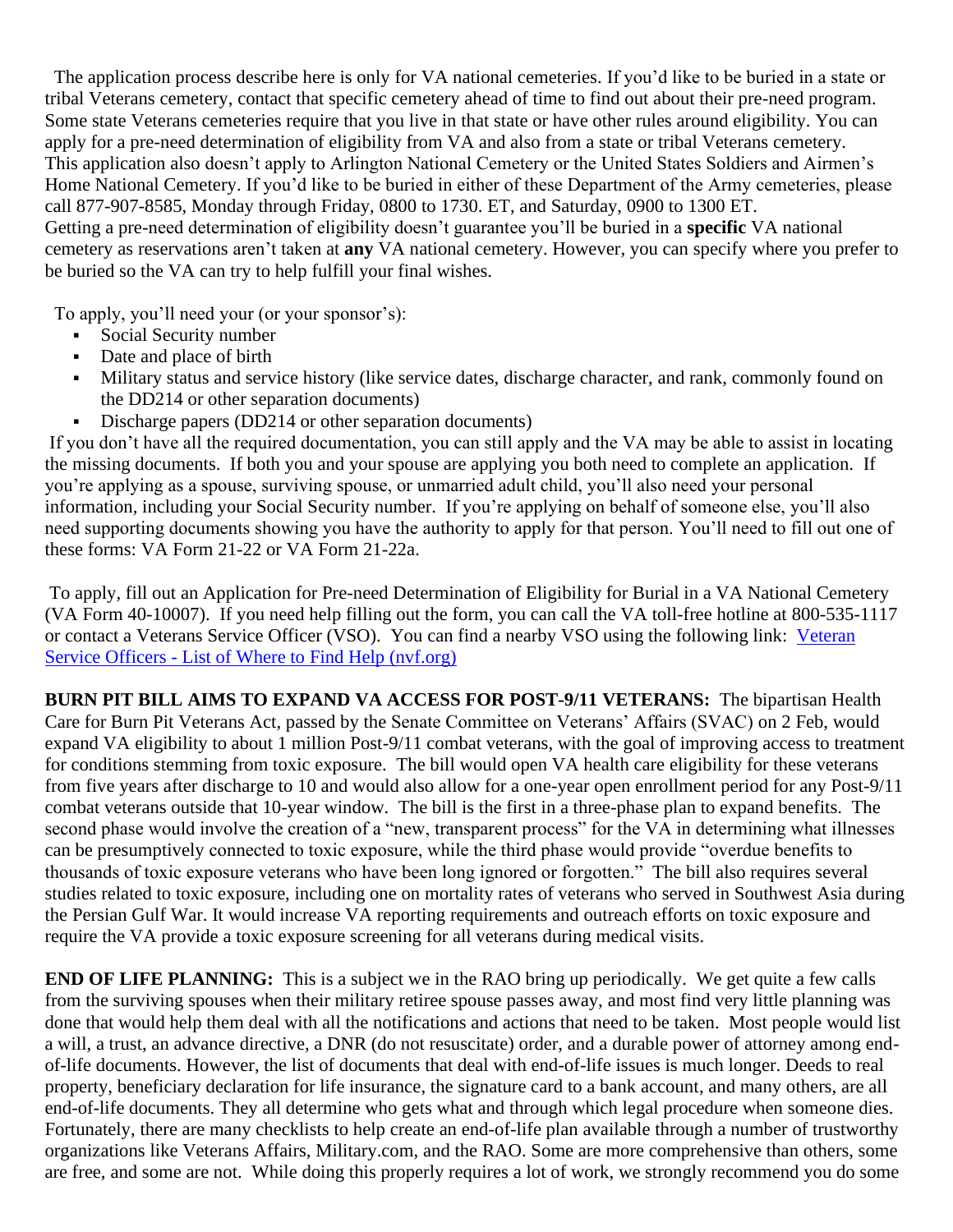The application process describe here is only for VA national cemeteries. If you'd like to be buried in a state or tribal Veterans cemetery, contact that specific cemetery ahead of time to find out about their pre-need program. Some state Veterans cemeteries require that you live in that state or have other rules around eligibility. You can apply for a pre-need determination of eligibility from VA and also from a state or tribal Veterans cemetery. This application also doesn't apply to Arlington National Cemetery or the United States Soldiers and Airmen's Home National Cemetery. If you'd like to be buried in either of these Department of the Army cemeteries, please call [877-907-8585,](tel:+18779078585) Monday through Friday, 0800 to 1730. ET, and Saturday, 0900 to 1300 ET. Getting a pre-need determination of eligibility doesn't guarantee you'll be buried in a **specific** VA national cemetery as reservations aren't taken at **any** VA national cemetery. However, you can specify where you prefer to be buried so the VA can try to help fulfill your final wishes.

To apply, you'll need your (or your sponsor's):

- Social Security number
- Date and place of birth
- Military status and service history (like service dates, discharge character, and rank, commonly found on the DD214 or other separation documents)
- **•** Discharge papers (DD214 or other separation documents)

If you don't have all the required documentation, you can still apply and the VA may be able to assist in locating the missing documents. If both you and your spouse are applying you both need to complete an application. If you're applying as a spouse, surviving spouse, or unmarried adult child, you'll also need your personal information, including your Social Security number. If you're applying on behalf of someone else, you'll also need supporting documents showing you have the authority to apply for that person. You'll need to fill out one of these forms: VA Form 21-22 or VA Form 21-22a.

To apply, fill out an Application for Pre-need Determination of Eligibility for Burial in a VA National Cemetery (VA Form 40-10007). If you need help filling out the form, you can call the VA toll-free hotline at [800-535-1117](tel:+18005351117) or contact a Veterans Service Officer (VSO). You can find a nearby VSO using the following link: [Veteran](https://nvf.org/veteran-service-officers/)  Service Officers - [List of Where to Find Help \(nvf.org\)](https://nvf.org/veteran-service-officers/)

**BURN PIT BILL AIMS TO EXPAND VA ACCESS FOR POST-9/11 VETERANS:** The bipartisan Health Care for Burn Pit Veterans Act, passed by the Senate Committee on Veterans' Affairs (SVAC) on 2 Feb, would expand VA eligibility to about 1 million Post-9/11 combat veterans, with the goal of improving access to treatment for conditions stemming from toxic exposure. The bill would open VA health care eligibility for these veterans from five years after discharge to 10 and would also allow for a one-year open enrollment period for any Post-9/11 combat veterans outside that 10-year window. The bill is the first in a three-phase plan to expand benefits. The second phase would involve the creation of a "new, transparent process" for the VA in determining what illnesses can be presumptively connected to toxic exposure, while the third phase would provide "overdue benefits to thousands of toxic exposure veterans who have been long ignored or forgotten." The bill also requires several studies related to toxic exposure, including one on mortality rates of veterans who served in Southwest Asia during the Persian Gulf War. It would increase VA reporting requirements and outreach efforts on toxic exposure and require the VA provide a toxic exposure screening for all veterans during medical visits.

**END OF LIFE PLANNING:** This is a subject we in the RAO bring up periodically. We get quite a few calls from the surviving spouses when their military retiree spouse passes away, and most find very little planning was done that would help them deal with all the notifications and actions that need to be taken. Most people would list a will, a trust, an advance directive, a DNR (do not resuscitate) order, and a durable power of attorney among endof-life documents. However, the list of documents that deal with end-of-life issues is much longer. Deeds to real property, beneficiary declaration for life insurance, the signature card to a bank account, and many others, are all end-of-life documents. They all determine who gets what and through which legal procedure when someone dies. Fortunately, there are many checklists to help create an end-of-life plan available through a number of trustworthy organizations like Veterans Affairs, Military.com, and the RAO. Some are more comprehensive than others, some are free, and some are not. While doing this properly requires a lot of work, we strongly recommend you do some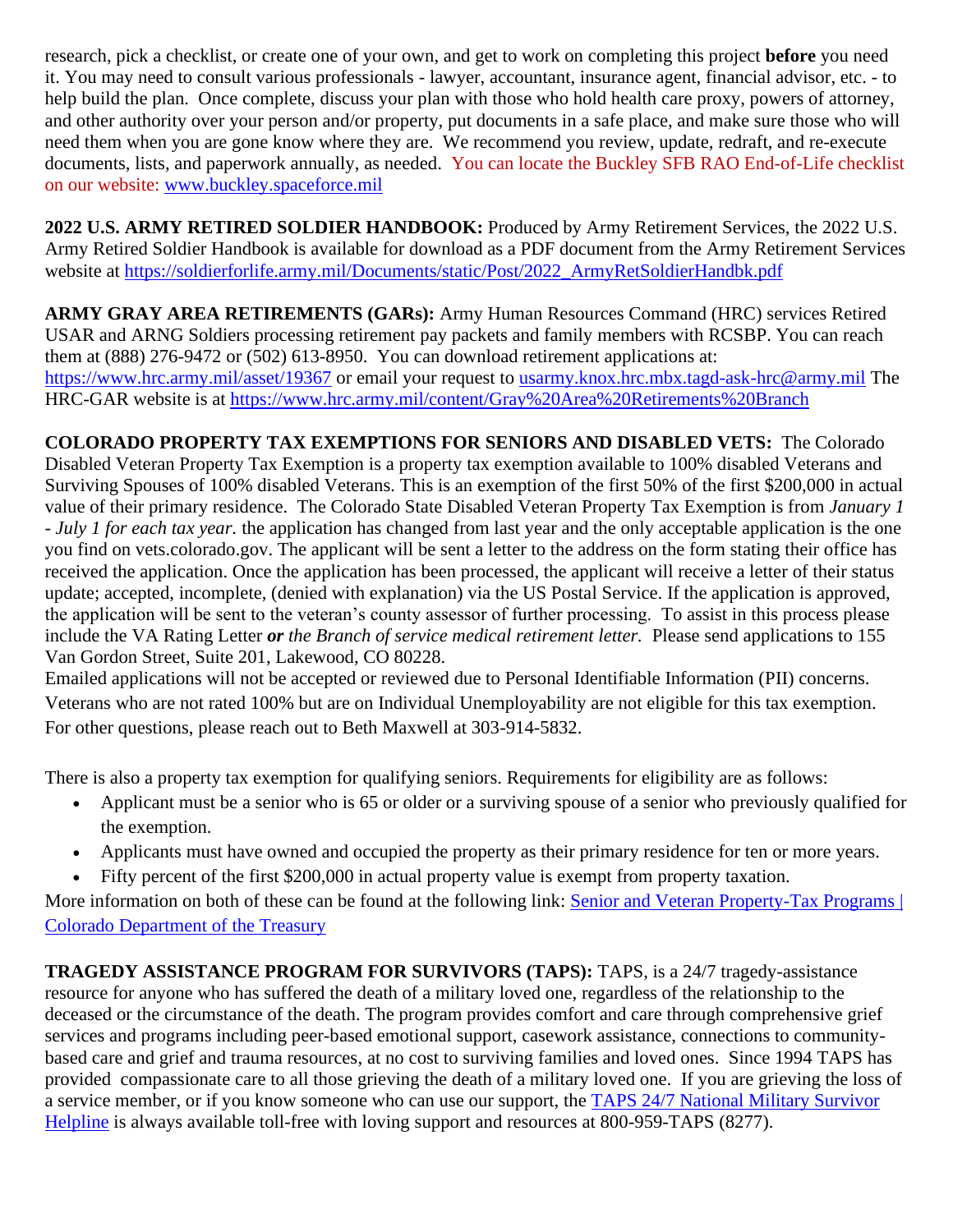research, pick a checklist, or create one of your own, and get to work on completing this project **before** you need it. You may need to consult various professionals - lawyer, accountant, insurance agent, financial advisor, etc. - to help build the plan. Once complete, discuss your plan with those who hold health care proxy, powers of attorney, and other authority over your person and/or property, put documents in a safe place, and make sure those who will need them when you are gone know where they are. We recommend you review, update, redraft, and re-execute documents, lists, and paperwork annually, as needed. You can locate the Buckley SFB RAO End-of-Life checklist on our website: [www.buckley.spaceforce.mil](https://www.buckley.spaceforce.mil/Units/Retiree-Activities-Office/)

**2022 U.S. ARMY RETIRED SOLDIER HANDBOOK:** Produced by Army Retirement Services, the 2022 U.S. Army Retired Soldier Handbook is available for download as a PDF document from the Army Retirement Services website at [https://soldierforlife.army.mil/Documents/static/Post/2022\\_ArmyRetSoldierHandbk.pdf](https://soldierforlife.army.mil/Documents/static/Post/2022_ArmyRetSoldierHandbk.pdf)

**ARMY GRAY AREA RETIREMENTS (GARs):** Army Human Resources Command (HRC) services Retired USAR and ARNG Soldiers processing retirement pay packets and family members with RCSBP. You can reach them at (888) 276-9472 or (502) 613-8950. You can download retirement applications at: <https://www.hrc.army.mil/asset/19367> or email your request to [usarmy.knox.hrc.mbx.tagd-ask-hrc@army.mil](mailto:usarmy.knox.hrc.mbx.tagd-ask-hrc@army.mil) The HRC-GAR website is at<https://www.hrc.army.mil/content/Gray%20Area%20Retirements%20Branch>

**COLORADO PROPERTY TAX EXEMPTIONS FOR SENIORS AND DISABLED VETS:** The Colorado Disabled Veteran Property Tax Exemption is a property tax exemption available to 100% disabled Veterans and Surviving Spouses of 100% disabled Veterans. This is an exemption of the first 50% of the first \$200,000 in actual value of their primary residence.The Colorado State Disabled Veteran Property Tax Exemption is from *January 1 - July 1 for each tax year.* the application has changed from last year and the only acceptable application is the one you find on vets.colorado.gov. The applicant will be sent a letter to the address on the form stating their office has received the application. Once the application has been processed, the applicant will receive a letter of their status update; accepted, incomplete, (denied with explanation) via the US Postal Service. If the application is approved, the application will be sent to the veteran's county assessor of further processing. To assist in this process please include the VA Rating Letter *or the Branch of service medical retirement letter.* Please send applications to 155 Van Gordon Street, Suite 201, Lakewood, CO 80228.

Emailed applications will not be accepted or reviewed due to Personal Identifiable Information (PII) concerns. Veterans who are not rated 100% but are on Individual Unemployability are not eligible for this tax exemption. For other questions, please reach out to Beth Maxwell at 303-914-5832.

There is also a property tax exemption for qualifying seniors. Requirements for eligibility are as follows:

- Applicant must be a senior who is 65 or older or a surviving spouse of a senior who previously qualified for the exemption.
- Applicants must have owned and occupied the property as their primary residence for ten or more years.
- Fifty percent of the first \$200,000 in actual property value is exempt from property taxation.

More information on both of these can be found at the following link: Senior and Veteran Property-Tax Programs | [Colorado Department of the Treasury](https://treasury.colorado.gov/senior-and-veteran-property-tax-programs)

**TRAGEDY ASSISTANCE PROGRAM FOR SURVIVORS (TAPS):** TAPS, is a 24/7 tragedy-assistance resource for anyone who has suffered the death of a military loved one, regardless of the relationship to the deceased or the circumstance of the death. The program provides comfort and care through comprehensive grief services and programs including peer-based emotional support, casework assistance, connections to communitybased care and grief and trauma resources, at no cost to surviving families and loved ones. Since 1994 TAPS has provided compassionate care to all those grieving the death of a military loved one. If you are grieving the loss of a service member, or if you know someone who can use our support, the TAPS 24/7 National Military Survivor [Helpline](https://www.taps.org/join-taps/survivor-helpline/) is always available toll-free with loving support and resources at 800-959-TAPS (8277).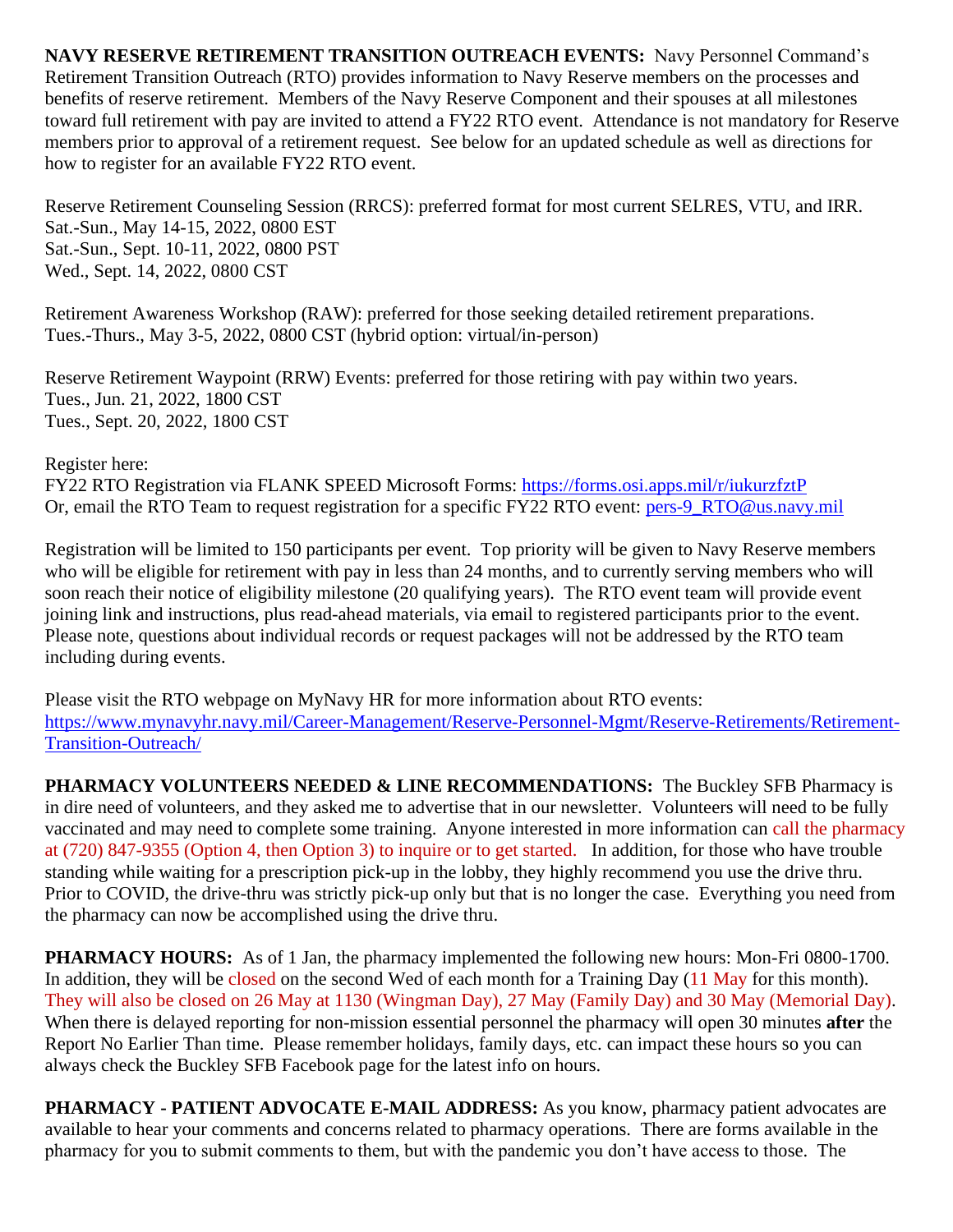**NAVY RESERVE RETIREMENT TRANSITION OUTREACH EVENTS:** Navy Personnel Command's Retirement Transition Outreach (RTO) provides information to Navy Reserve members on the processes and benefits of reserve retirement. Members of the Navy Reserve Component and their spouses at all milestones toward full retirement with pay are invited to attend a FY22 RTO event. Attendance is not mandatory for Reserve members prior to approval of a retirement request. See below for an updated schedule as well as directions for how to register for an available FY22 RTO event.

Reserve Retirement Counseling Session (RRCS): preferred format for most current SELRES, VTU, and IRR. Sat.-Sun., May 14-15, 2022, 0800 EST Sat.-Sun., Sept. 10-11, 2022, 0800 PST Wed., Sept. 14, 2022, 0800 CST

Retirement Awareness Workshop (RAW): preferred for those seeking detailed retirement preparations. Tues.-Thurs., May 3-5, 2022, 0800 CST (hybrid option: virtual/in-person)

Reserve Retirement Waypoint (RRW) Events: preferred for those retiring with pay within two years. Tues., Jun. 21, 2022, 1800 CST Tues., Sept. 20, 2022, 1800 CST

Register here:

FY22 RTO Registration via FLANK SPEED Microsoft Forms:<https://forms.osi.apps.mil/r/iukurzfztP> Or, email the RTO Team to request registration for a specific FY22 RTO event: [pers-9\\_RTO@us.navy.mil](mailto:pers-9_RTO@us.navy.mil)

Registration will be limited to 150 participants per event. Top priority will be given to Navy Reserve members who will be eligible for retirement with pay in less than 24 months, and to currently serving members who will soon reach their notice of eligibility milestone (20 qualifying years). The RTO event team will provide event joining link and instructions, plus read-ahead materials, via email to registered participants prior to the event. Please note, questions about individual records or request packages will not be addressed by the RTO team including during events.

Please visit the RTO webpage on MyNavy HR for more information about RTO events: [https://www.mynavyhr.navy.mil/Career-Management/Reserve-Personnel-Mgmt/Reserve-Retirements/Retirement-](https://www.mynavyhr.navy.mil/Career-Management/Reserve-Personnel-Mgmt/Reserve-Retirements/Retirement-Transition-Outreach/)[Transition-Outreach/](https://www.mynavyhr.navy.mil/Career-Management/Reserve-Personnel-Mgmt/Reserve-Retirements/Retirement-Transition-Outreach/)

**PHARMACY VOLUNTEERS NEEDED & LINE RECOMMENDATIONS:** The Buckley SFB Pharmacy is in dire need of volunteers, and they asked me to advertise that in our newsletter. Volunteers will need to be fully vaccinated and may need to complete some training. Anyone interested in more information can call the pharmacy at (720) 847-9355 (Option 4, then Option 3) to inquire or to get started. In addition, for those who have trouble standing while waiting for a prescription pick-up in the lobby, they highly recommend you use the drive thru. Prior to COVID, the drive-thru was strictly pick-up only but that is no longer the case. Everything you need from the pharmacy can now be accomplished using the drive thru.

**PHARMACY HOURS:** As of 1 Jan, the pharmacy implemented the following new hours: Mon-Fri 0800-1700. In addition, they will be closed on the second Wed of each month for a Training Day (11 May for this month). They will also be closed on 26 May at 1130 (Wingman Day), 27 May (Family Day) and 30 May (Memorial Day). When there is delayed reporting for non-mission essential personnel the pharmacy will open 30 minutes **after** the Report No Earlier Than time. Please remember holidays, family days, etc. can impact these hours so you can always check the Buckley SFB Facebook page for the latest info on hours.

**PHARMACY - PATIENT ADVOCATE E-MAIL ADDRESS:** As you know, pharmacy patient advocates are available to hear your comments and concerns related to pharmacy operations. There are forms available in the pharmacy for you to submit comments to them, but with the pandemic you don't have access to those. The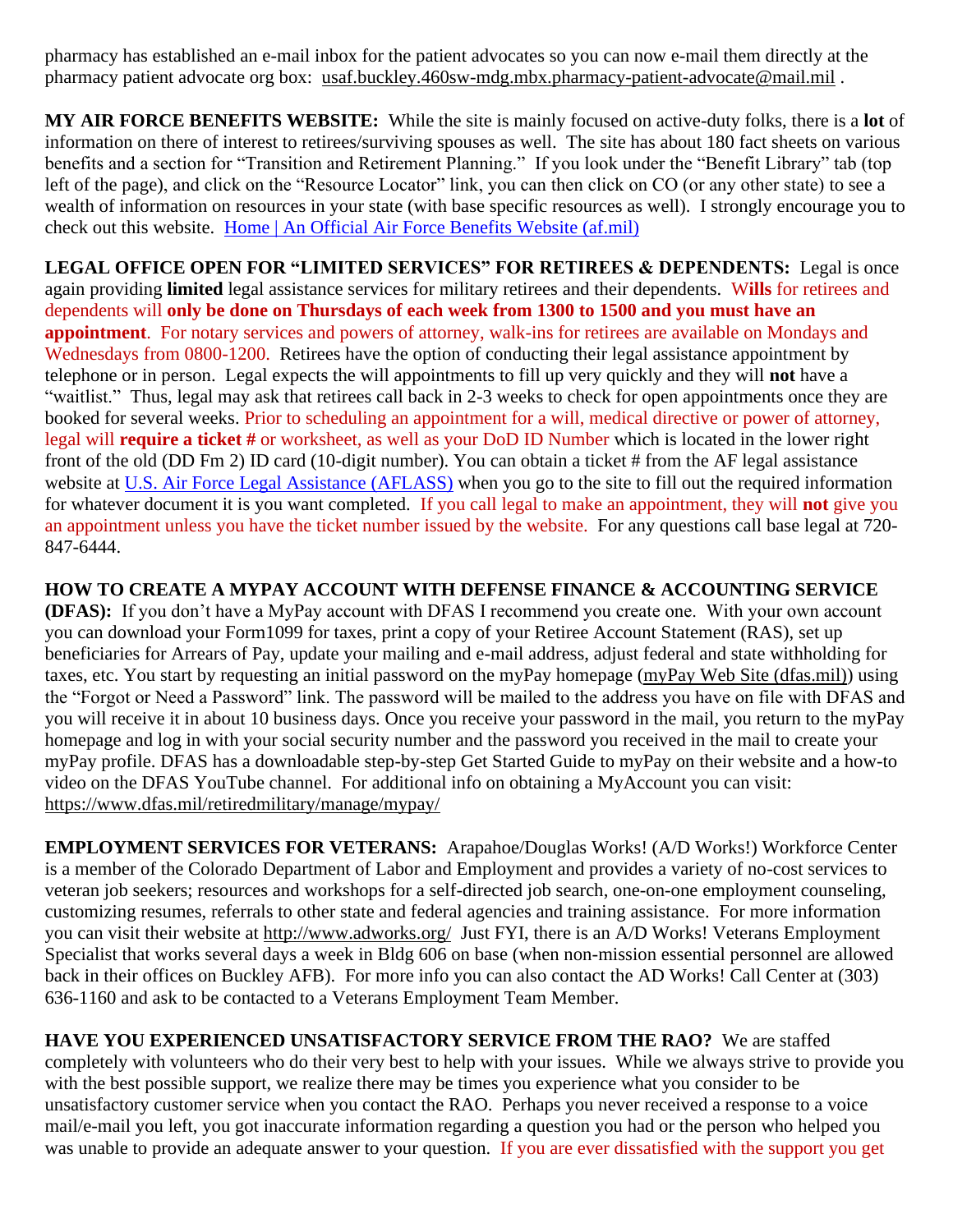pharmacy has established an e-mail inbox for the patient advocates so you can now e-mail them directly at the pharmacy patient advocate org box: [usaf.buckley.460sw-mdg.mbx.pharmacy-patient-advocate@mail.mil](mailto:usaf.buckley.460sw-mdg.mbx.pharmacy-patient-advocate@mail.mil) .

**MY AIR FORCE BENEFITS WEBSITE:** While the site is mainly focused on active-duty folks, there is a **lot** of information on there of interest to retirees/surviving spouses as well. The site has about 180 fact sheets on various benefits and a section for "Transition and Retirement Planning." If you look under the "Benefit Library" tab (top left of the page), and click on the "Resource Locator" link, you can then click on CO (or any other state) to see a wealth of information on resources in your state (with base specific resources as well). I strongly encourage you to check out this website. [Home | An Official Air Force Benefits Website](https://www.myairforcebenefits.us.af.mil/) (af.mil)

**LEGAL OFFICE OPEN FOR "LIMITED SERVICES" FOR RETIREES & DEPENDENTS:** Legal is once again providing **limited** legal assistance services for military retirees and their dependents. W**ills** for retirees and dependents will **only be done on Thursdays of each week from 1300 to 1500 and you must have an appointment**. For notary services and powers of attorney, walk-ins for retirees are available on Mondays and Wednesdays from 0800-1200. Retirees have the option of conducting their legal assistance appointment by telephone or in person. Legal expects the will appointments to fill up very quickly and they will **not** have a "waitlist." Thus, legal may ask that retirees call back in 2-3 weeks to check for open appointments once they are booked for several weeks. Prior to scheduling an appointment for a will, medical directive or power of attorney, legal will **require a ticket #** or worksheet, as well as your DoD ID Number which is located in the lower right front of the old (DD Fm 2) ID card (10-digit number). You can obtain a ticket # from the AF legal assistance website at [U.S. Air Force Legal Assistance](https://aflegalassistance.law.af.mil/lass/lass.html) (AFLASS) when you go to the site to fill out the required information for whatever document it is you want completed. If you call legal to make an appointment, they will **not** give you an appointment unless you have the ticket number issued by the website. For any questions call base legal at 720- 847-6444.

**HOW TO CREATE A MYPAY ACCOUNT WITH DEFENSE FINANCE & ACCOUNTING SERVICE (DFAS):** If you don't have a MyPay account with DFAS I recommend you create one. With your own account you can download your Form1099 for taxes, print a copy of your Retiree Account Statement (RAS), set up beneficiaries for Arrears of Pay, update your mailing and e-mail address, adjust federal and state withholding for taxes, etc. You start by requesting an initial password on the myPay homepage [\(myPay Web Site \(dfas.mil\)\)](https://mypay.dfas.mil/#/) using the "Forgot or Need a Password" link. The password will be mailed to the address you have on file with DFAS and you will receive it in about 10 business days. Once you receive your password in the mail, you return to the myPay homepage and log in with your social security number and the password you received in the mail to create your myPay profile. DFAS has a downloadable step-by-step Get Started Guide to myPay on their website and a how-to video on the DFAS YouTube channel. For additional info on obtaining a MyAccount you can visit: <https://www.dfas.mil/retiredmilitary/manage/mypay/>

**EMPLOYMENT SERVICES FOR VETERANS:** Arapahoe/Douglas Works! (A/D Works!) Workforce Center is a member of the Colorado Department of Labor and Employment and provides a variety of no-cost services to veteran job seekers; resources and workshops for a self-directed job search, one-on-one employment counseling, customizing resumes, referrals to other state and federal agencies and training assistance. For more information you can visit their website at<http://www.adworks.org/>Just FYI, there is an A/D Works! Veterans Employment Specialist that works several days a week in Bldg 606 on base (when non-mission essential personnel are allowed back in their offices on Buckley AFB). For more info you can also contact the AD Works! Call Center at (303) 636-1160 and ask to be contacted to a Veterans Employment Team Member.

**HAVE YOU EXPERIENCED UNSATISFACTORY SERVICE FROM THE RAO?** We are staffed completely with volunteers who do their very best to help with your issues. While we always strive to provide you with the best possible support, we realize there may be times you experience what you consider to be unsatisfactory customer service when you contact the RAO. Perhaps you never received a response to a voice mail/e-mail you left, you got inaccurate information regarding a question you had or the person who helped you was unable to provide an adequate answer to your question. If you are ever dissatisfied with the support you get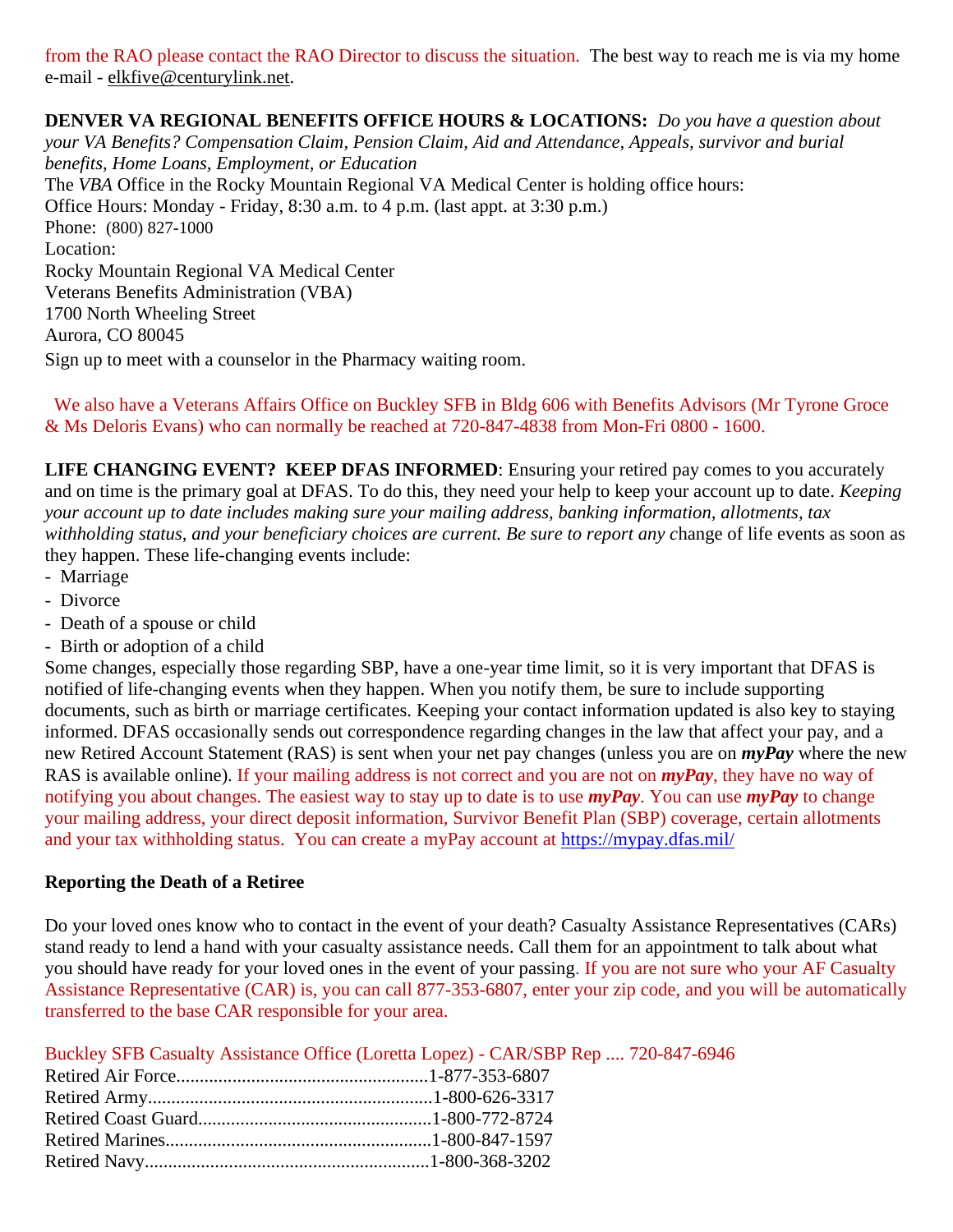from the RAO please contact the RAO Director to discuss the situation. The best way to reach me is via my home e-mail - [elkfive@centurylink.net.](mailto:elkfive@centurylink.net)

**DENVER VA REGIONAL BENEFITS OFFICE HOURS & LOCATIONS:** *Do you have a question about your VA Benefits? Compensation Claim, Pension Claim, Aid and Attendance, Appeals, survivor and burial benefits, Home Loans, Employment, or Education*  The *VBA* Office in the Rocky Mountain Regional VA Medical Center is holding office hours: Office Hours: Monday - Friday, 8:30 a.m. to 4 p.m. (last appt. at 3:30 p.m.) Phone: [\(800\) 827-1000](https://www.google.com/search?source=hp&ei=1bIFXOnJLePk8APkxJfIDw&q=denver+va+regional+benefits+office+phone+number&oq=Denver+va+regional+benef&gs_l=psy-ab.1.1.0i22i30l4.1057.7073..9944...0.0..0.148.2902.2j23......0....1..gws-wiz.....0..0j0i131j0i10.2DXy9-Yewu0) Location: Rocky Mountain Regional VA Medical Center Veterans Benefits Administration (VBA) 1700 North Wheeling Street Aurora, CO 80045 Sign up to meet with a counselor in the Pharmacy waiting room.

 We also have a Veterans Affairs Office on Buckley SFB in Bldg 606 with Benefits Advisors (Mr Tyrone Groce & Ms Deloris Evans) who can normally be reached at 720-847-4838 from Mon-Fri 0800 - 1600.

**LIFE CHANGING EVENT? KEEP DFAS INFORMED**: Ensuring your retired pay comes to you accurately and on time is the primary goal at DFAS. To do this, they need your help to keep your account up to date. *Keeping your account up to date includes making sure your mailing address, banking information, allotments, tax withholding status, and your beneficiary choices are current. Be sure to report any c*hange of life events as soon as they happen. These life-changing events include:

- Marriage
- Divorce
- Death of a spouse or child
- Birth or adoption of a child

Some changes, especially those regarding SBP, have a one-year time limit, so it is very important that DFAS is notified of life-changing events when they happen. When you notify them, be sure to include supporting documents, such as birth or marriage certificates. Keeping your contact information updated is also key to staying informed. DFAS occasionally sends out correspondence regarding changes in the law that affect your pay, and a new Retired Account Statement (RAS) is sent when your net pay changes (unless you are on *myPay* where the new RAS is available online). If your mailing address is not correct and you are not on *myPay*, they have no way of notifying you about changes. The easiest way to stay up to date is to use *myPay*. You can use *myPay* to change your mailing address, your direct deposit information, Survivor Benefit Plan (SBP) coverage, certain allotments and your tax withholding status. You can create a myPay account at <https://mypay.dfas.mil/>

#### **Reporting the Death of a Retiree**

Do your loved ones know who to contact in the event of your death? Casualty Assistance Representatives (CARs) stand ready to lend a hand with your casualty assistance needs. Call them for an appointment to talk about what you should have ready for your loved ones in the event of your passing. If you are not sure who your AF Casualty Assistance Representative (CAR) is, you can call 877-353-6807, enter your zip code, and you will be automatically transferred to the base CAR responsible for your area.

Buckley SFB Casualty Assistance Office (Loretta Lopez) - CAR/SBP Rep .... 720-847-6946